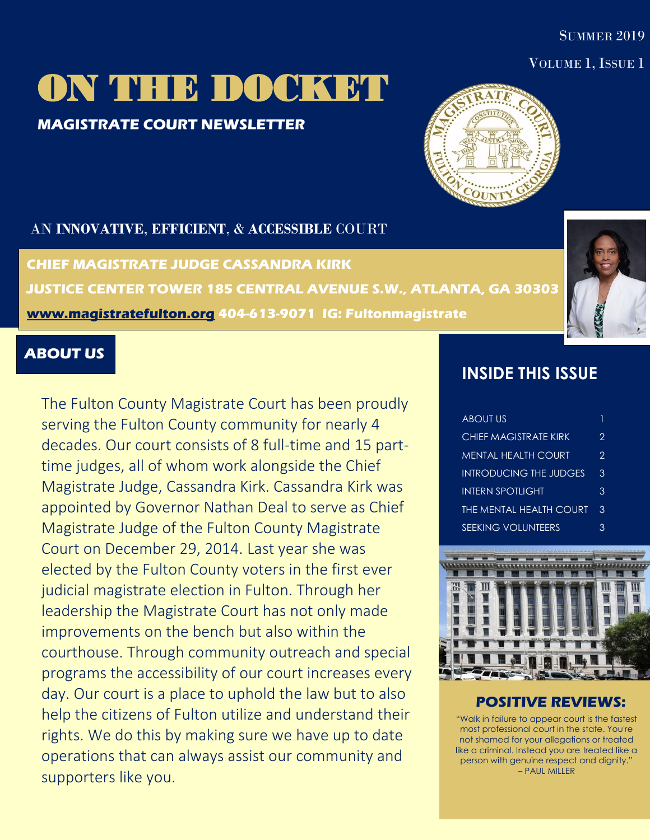#### **SUMMER 2019**

#### VOLUME 1, ISSUE 1

# ON THE DOCKET

### **MAGISTRATE COURT NEWSLETTER**



#### AN **INNOVATIVE**, **EFFICIENT**, & **ACCESSIBLE** COURT

**CHIEF MAGISTRATE JUDGE CASSANDRA KIRK JUSTICE CENTER TOWER 185 CENTRAL AVENUE S.W., ATLANTA, GA 30303 [www.magistratefulton.org](http://www.magistratefulton.org/) 404-613-9071 IG: Fultonmagistrate** 

#### **ABOUT US**

The Fulton County Magistrate Court has been proudly serving the Fulton County community for nearly 4 decades. Our court consists of 8 full-time and 15 parttime judges, all of whom work alongside the Chief Magistrate Judge, Cassandra Kirk. Cassandra Kirk was appointed by Governor Nathan Deal to serve as Chief Magistrate Judge of the Fulton County Magistrate Court on December 29, 2014. Last year she was elected by the Fulton County voters in the first ever judicial magistrate election in Fulton. Through her leadership the Magistrate Court has not only made improvements on the bench but also within the courthouse. Through community outreach and special programs the accessibility of our court increases every day. Our court is a place to uphold the law but to also help the citizens of Fulton utilize and understand their rights. We do this by making sure we have up to date operations that can always assist our community and supporters like you.

## **INSIDE THIS ISSUE**

| <u>ABOUT US</u>               | 1 |
|-------------------------------|---|
| CHIFF MAGISTRATE KIRK         | 2 |
| MENTAL HEALTH COURT           | 2 |
| <b>INTRODUCING THE JUDGES</b> | 3 |
| INTERN SPOTI IGHT             | 3 |
| THE MENTAL HEALTH COURT       | 3 |
| <b>SEEKING VOLUNTEERS</b>     | κ |



#### **POSITIVE REVIEWS:**

"Walk in failure to appear court is the fastest most professional court in the state. You're not shamed for your allegations or treated like a criminal. Instead you are treated like a person with genuine respect and dignity." – PAUL MILLER

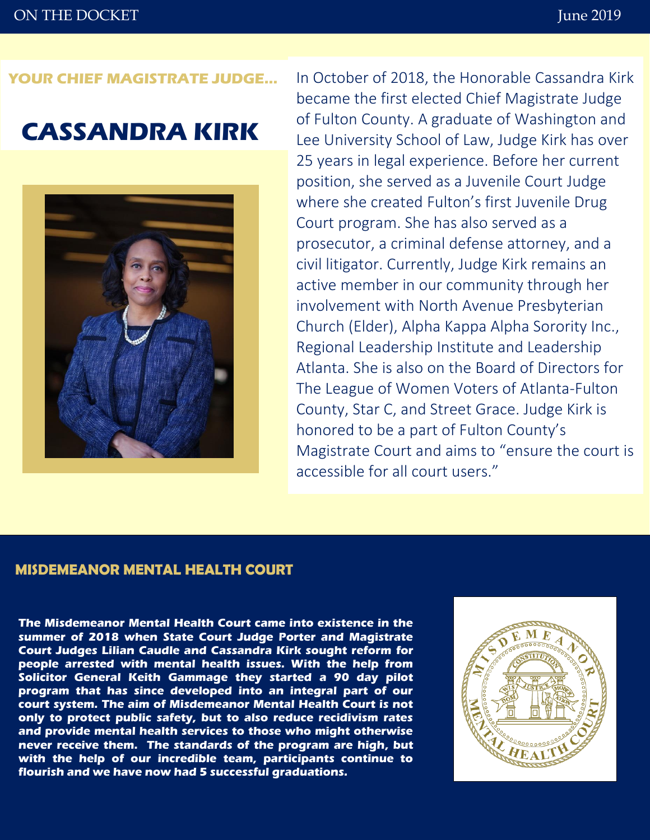#### **YOUR CHIEF MAGISTRATE JUDGE…**

## **CASSANDRA KIRK**



In October of 2018, the Honorable Cassandra Kirk became the first elected Chief Magistrate Judge of Fulton County. A graduate of Washington and Lee University School of Law, Judge Kirk has over 25 years in legal experience. Before her current position, she served as a Juvenile Court Judge where she created Fulton's first Juvenile Drug Court program. She has also served as a prosecutor, a criminal defense attorney, and a civil litigator. Currently, Judge Kirk remains an active member in our community through her involvement with North Avenue Presbyterian Church (Elder), Alpha Kappa Alpha Sorority Inc., Regional Leadership Institute and Leadership Atlanta. She is also on the Board of Directors for The League of Women Voters of Atlanta-Fulton County, Star C, and Street Grace. Judge Kirk is honored to be a part of Fulton County's Magistrate Court and aims to "ensure the court is accessible for all court users."

#### **MISDEMEANOR MENTAL HEALTH COURT**

**The Misdemeanor Mental Health Court came into existence in the summer of 2018 when State Court Judge Porter and Magistrate Court Judges Lilian Caudle and Cassandra Kirk sought reform for people arrested with mental health issues. With the help from Solicitor General Keith Gammage they started a 90 day pilot program that has since developed into an integral part of our court system. The aim of Misdemeanor Mental Health Court is not only to protect public safety, but to also reduce recidivism rates and provide mental health services to those who might otherwise never receive them. The standards of the program are high, but with the help of our incredible team, participants continue to flourish and we have now had 5 successful graduations.**